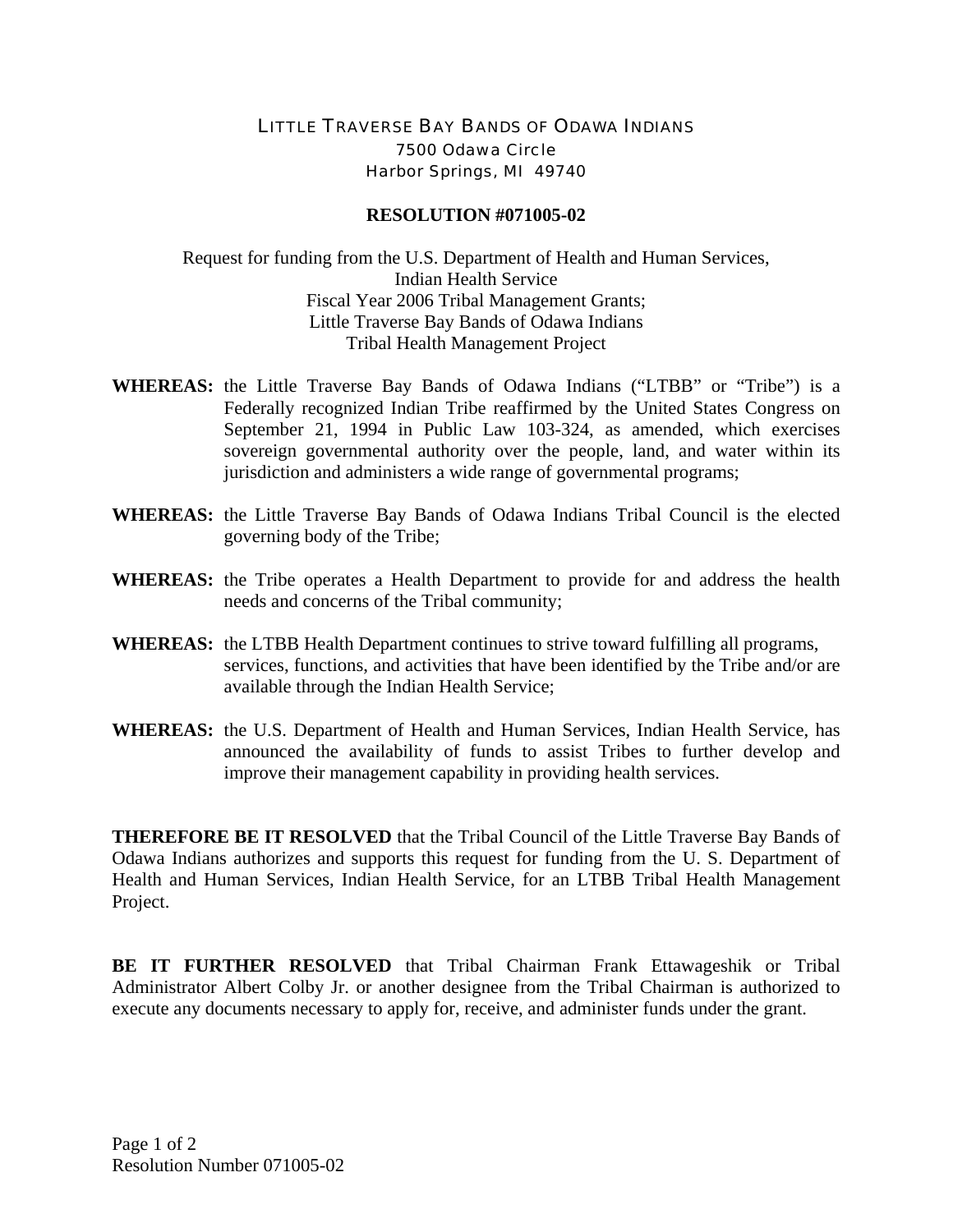## LITTLE TRAVERSE BAY BANDS OF ODAWA INDIANS 7500 Odawa Circle Harbor Springs, MI 49740

## **RESOLUTION #071005-02**

Request for funding from the U.S. Department of Health and Human Services, Indian Health Service Fiscal Year 2006 Tribal Management Grants; Little Traverse Bay Bands of Odawa Indians Tribal Health Management Project

- **WHEREAS:** the Little Traverse Bay Bands of Odawa Indians ("LTBB" or "Tribe") is a Federally recognized Indian Tribe reaffirmed by the United States Congress on September 21, 1994 in Public Law 103-324, as amended, which exercises sovereign governmental authority over the people, land, and water within its jurisdiction and administers a wide range of governmental programs;
- **WHEREAS:** the Little Traverse Bay Bands of Odawa Indians Tribal Council is the elected governing body of the Tribe;
- **WHEREAS:** the Tribe operates a Health Department to provide for and address the health needs and concerns of the Tribal community;
- **WHEREAS:** the LTBB Health Department continues to strive toward fulfilling all programs, services, functions, and activities that have been identified by the Tribe and/or are available through the Indian Health Service;
- **WHEREAS:** the U.S. Department of Health and Human Services, Indian Health Service, has announced the availability of funds to assist Tribes to further develop and improve their management capability in providing health services.

**THEREFORE BE IT RESOLVED** that the Tribal Council of the Little Traverse Bay Bands of Odawa Indians authorizes and supports this request for funding from the U. S. Department of Health and Human Services, Indian Health Service, for an LTBB Tribal Health Management Project.

**BE IT FURTHER RESOLVED** that Tribal Chairman Frank Ettawageshik or Tribal Administrator Albert Colby Jr. or another designee from the Tribal Chairman is authorized to execute any documents necessary to apply for, receive, and administer funds under the grant.